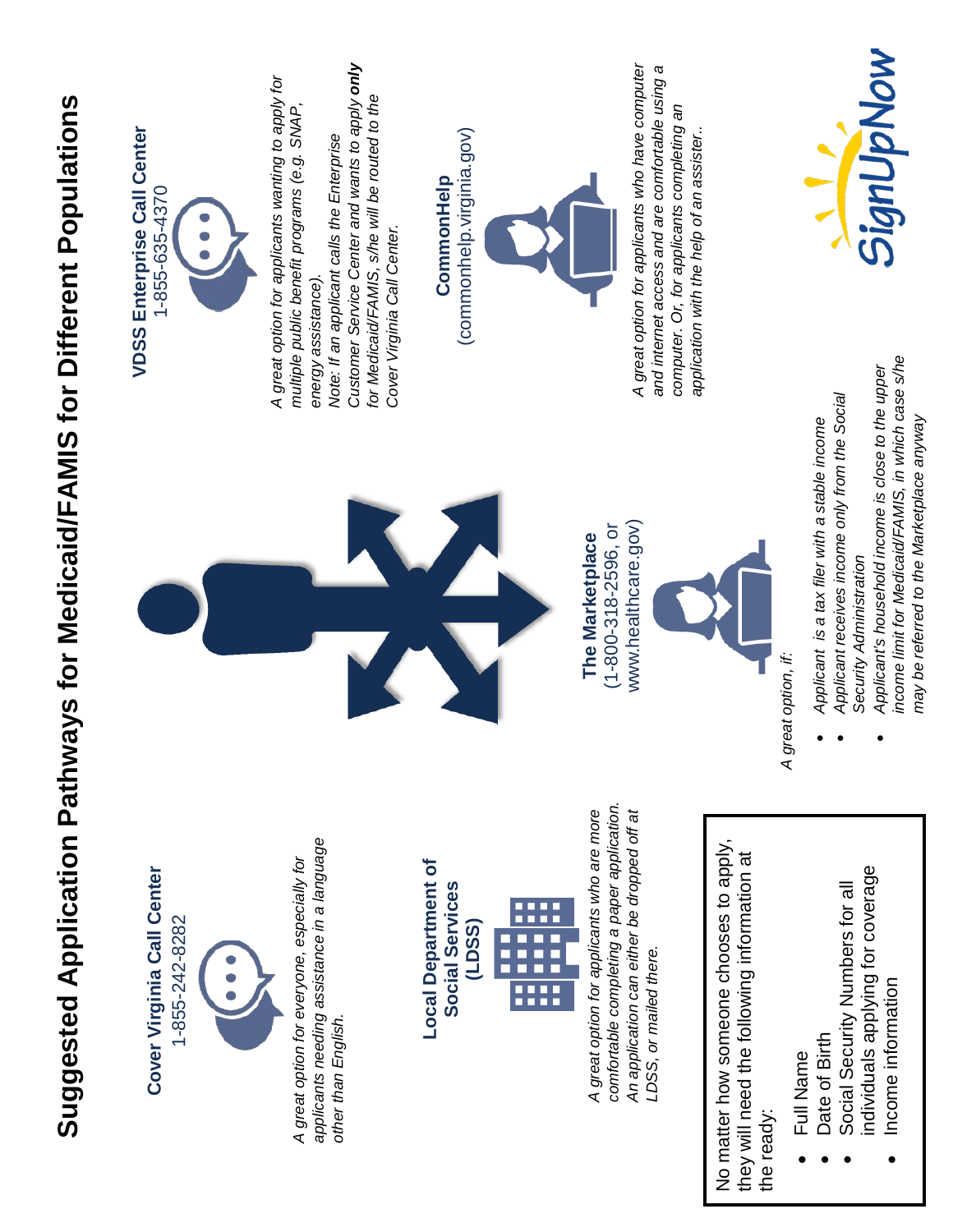# Suggested Application Pathways for Medicaid/FAMIS for Different Populations **Suggested Application Pathways for Medicaid/FAMIS for Different Populations**





*applicants needing assistance in a language*  applicants needing assistance in a language *A great option for everyone, especially for*  A great option for everyone, especially for other than English. *other than English.*

## **Local Department of Local Department of Social Services**  Social Services **(LDSS)** E i

*comfortable completing a paper application.*  comfortable completing a paper application. A great option for applicants who are more *A great option for applicants who are more*  An application can either be dropped off at *An application can either be dropped off at*  LDSS, or mailed there. *LDSS, or mailed there.*

No matter how someone chooses to apply, No matter how someone chooses to apply, they will need the following information at they will need the following information at the ready:

- Full Name • Full Name
- Date of Birth • Date of Birth
- individuals applying for coverage individuals applying for coverage • Social Security Numbers for all Social Security Numbers for all Income information • Income information

(1-800-318-2596, or www.healthcare.gov) www.healthcare.gov)  $(1 - 800 - 318 - 2596,$  or **The Marketplace**  The Marketplace



A great option, if: *A great option, if:*

- Applicant is a tax filer with a stable income • *Applicant is a tax filer with a stable income*
- Applicant receives income only from the Social • *Applicant receives income only from the Social*  Security Administration *Security Administration*
- income limit for Medicaid/FAMIS, in which case s/he *income limit for Medicaid/FAMIS, in which case s/he*  Applicant's household income is close to the upper • *Applicant's household income is close to the upper*  may be referred to the Marketplace anyway *may be referred to the Marketplace anyway*

SignUpNow



Customer Service Center and wants to apply only *Customer Service Center and wants to apply only* A great option for applicants wanting to apply for *A great option for applicants wanting to apply for*  for Medicaid/FAMIS, s/he will be routed to the *for Medicaid/FAMIS, s/he will be routed to the multiple public benefit programs (e.g. SNAP,*  multiple public benefit programs (e.g. SNAP, *Note: If an applicant calls the Enterprise*  Note: If an applicant calls the Enterprise energy assistance). *energy assistance).*

(commonhelp.virginia.gov) (commonhelp.virginia.gov) CommonHelp **CommonHelp**

*Cover Virginia Call Center.*

Cover Virginia Call Center.



A great option for applicants who have computer *A great option for applicants who have computer*  and internet access and are comfortable using a *and internet access and are comfortable using a*  computer. Or, for applicants completing an *computer. Or, for applicants completing an* application with the help of an assister... *application with the help of an assister..*